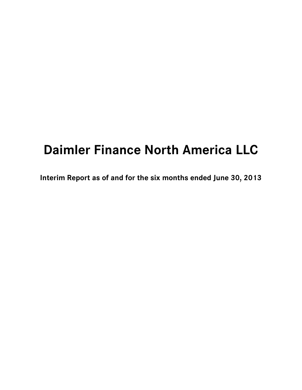# **Daimler Finance North America LLC**

**Interim Report as of and for the six months ended June 30, 2013**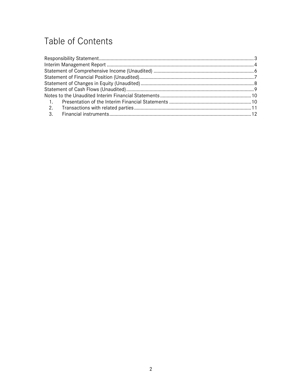# Table of Contents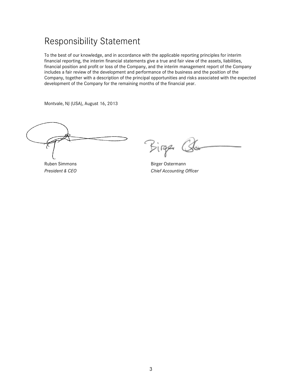### <span id="page-2-0"></span>Responsibility Statement

To the best of our knowledge, and in accordance with the applicable reporting principles for interim financial reporting, the interim financial statements give a true and fair view of the assets, liabilities, financial position and profit or loss of the Company, and the interim management report of the Company includes a fair review of the development and performance of the business and the position of the Company, together with a description of the principal opportunities and risks associated with the expected development of the Company for the remaining months of the financial year.

Montvale, NJ (USA), August 16, 2013

Ruben Simmons and Birger Ostermann

Birger

*President & CEO Chief Accounting Officer*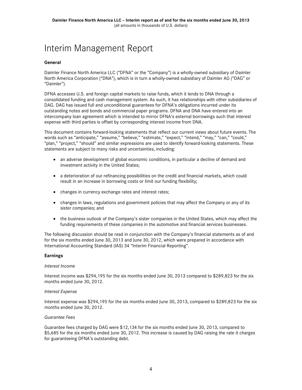## <span id="page-3-0"></span>Interim Management Report

#### **General**

Daimler Finance North America LLC ("DFNA" or the "Company") is a wholly-owned subsidiary of Daimler North America Corporation ("DNA"), which is in turn a wholly-owned subsidiary of Daimler AG ("DAG" or "Daimler").

DFNA accesses U.S. and foreign capital markets to raise funds, which it lends to DNA through a consolidated funding and cash management system. As such, it has relationships with other subsidiaries of DAG. DAG has issued full and unconditional guarantees for DFNA's obligations incurred under its outstanding notes and bonds and commercial paper programs. DFNA and DNA have entered into an intercompany loan agreement which is intended to mirror DFNA's external borrowings such that interest expense with third parties is offset by corresponding interest income from DNA.

This document contains forward-looking statements that reflect our current views about future events. The words such as "anticipate," "assume," "believe," "estimate," "expect," "intend," "may," "can," "could," "plan," "project," "should" and similar expressions are used to identify forward-looking statements. These statements are subject to many risks and uncertainties, including:

- an adverse development of global economic conditions, in particular a decline of demand and investment activity in the United States;
- a deterioration of our refinancing possibilities on the credit and financial markets, which could result in an increase in borrowing costs or limit our funding flexibility;
- changes in currency exchange rates and interest rates;
- changes in laws, regulations and government policies that may affect the Company or any of its sister companies; and
- the business outlook of the Company's sister companies in the United States, which may affect the funding requirements of these companies in the automotive and financial services businesses.

The following discussion should be read in conjunction with the Company's financial statements as of and for the six months ended June 30, 2013 and June 30, 2012, which were prepared in accordance with International Accounting Standard (IAS) 34 "Interim Financial Reporting".

#### **Earnings**

#### *Interest Income*

Interest income was \$294,195 for the six months ended June 30, 2013 compared to \$289,823 for the six months ended June 30, 2012.

#### *Interest Expense*

Interest expense was \$294,195 for the six months ended June 30, 2013, compared to \$289,823 for the six months ended June 30, 2012.

#### *Guarantee Fees*

Guarantee fees charged by DAG were \$12,134 for the six months ended June 30, 2013, compared to \$5,685 for the six months ended June 30, 2012. This increase is caused by DAG raising the rate it charges for guaranteeing DFNA's outstanding debt.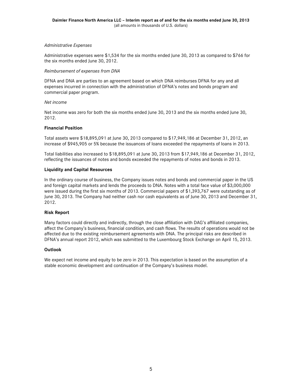#### *Administrative Expenses*

Administrative expenses were \$1,534 for the six months ended June 30, 2013 as compared to \$766 for the six months ended June 30, 2012.

#### *Reimbursement of expenses from DNA*

DFNA and DNA are parties to an agreement based on which DNA reimburses DFNA for any and all expenses incurred in connection with the administration of DFNA's notes and bonds program and commercial paper program.

#### *Net income*

Net income was zero for both the six months ended June 30, 2013 and the six months ended June 30, 2012.

#### **Financial Position**

Total assets were \$18,895,091 at June 30, 2013 compared to \$17,949,186 at December 31, 2012, an increase of \$945,905 or 5% because the issuances of loans exceeded the repayments of loans in 2013.

Total liabilities also increased to \$18,895,091 at June 30, 2013 from \$17,949,186 at December 31, 2012, reflecting the issuances of notes and bonds exceeded the repayments of notes and bonds in 2013.

#### **Liquidity and Capital Resources**

In the ordinary course of business, the Company issues notes and bonds and commercial paper in the US and foreign capital markets and lends the proceeds to DNA. Notes with a total face value of \$3,000,000 were issued during the first six months of 2013. Commercial papers of \$1,393,767 were outstanding as of June 30, 2013. The Company had neither cash nor cash equivalents as of June 30, 2013 and December 31, 2012.

#### **Risk Report**

Many factors could directly and indirectly, through the close affiliation with DAG's affiliated companies, affect the Company's business, financial condition, and cash flows. The results of operations would not be affected due to the existing reimbursement agreements with DNA. The principal risks are described in DFNA's annual report 2012, which was submitted to the Luxembourg Stock Exchange on April 15, 2013.

#### **Outlook**

We expect net income and equity to be zero in 2013. This expectation is based on the assumption of a stable economic development and continuation of the Company's business model.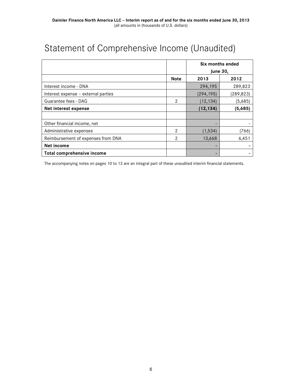# <span id="page-5-0"></span>Statement of Comprehensive Income (Unaudited)

|                                     |               | Six months ended<br><b>June 30,</b> |            |
|-------------------------------------|---------------|-------------------------------------|------------|
|                                     | <b>Note</b>   | 2013                                | 2012       |
| Interest income - DNA               |               | 294,195                             | 289,823    |
| Interest expense - external parties |               | (294, 195)                          | (289, 823) |
| Guarantee fees - DAG                | $\mathcal{P}$ | (12, 134)                           | (5,685)    |
| Net interest expense                |               | (12, 134)                           | (5,685)    |
|                                     |               |                                     |            |
| Other financial income, net         |               |                                     |            |
| Administrative expenses             | $\mathcal{P}$ | (1,534)                             | (766)      |
| Reimbursement of expenses from DNA  | 2             | 13,668                              | 6,451      |
| Net income                          |               |                                     |            |
| Total comprehensive income          |               |                                     |            |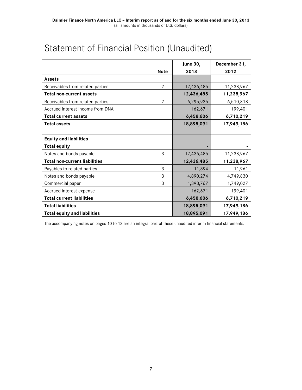|                                      |                | <b>June 30,</b> | December 31, |
|--------------------------------------|----------------|-----------------|--------------|
|                                      | <b>Note</b>    | 2013            | 2012         |
| <b>Assets</b>                        |                |                 |              |
| Receivables from related parties     | $\overline{2}$ | 12,436,485      | 11,238,967   |
| <b>Total non-current assets</b>      |                | 12,436,485      | 11,238,967   |
| Receivables from related parties     | $\overline{2}$ | 6,295,935       | 6,510,818    |
| Accrued interest income from DNA     |                | 162,671         | 199,401      |
| <b>Total current assets</b>          |                | 6,458,606       | 6,710,219    |
| <b>Total assets</b>                  |                | 18,895,091      | 17,949,186   |
|                                      |                |                 |              |
| <b>Equity and liabilities</b>        |                |                 |              |
| <b>Total equity</b>                  |                |                 |              |
| Notes and bonds payable              | 3              | 12,436,485      | 11,238,967   |
| <b>Total non-current liabilities</b> |                | 12,436,485      | 11,238,967   |
| Payables to related parties          | 3              | 11,894          | 11,961       |
| Notes and bonds payable              | 3              | 4,890,274       | 4,749,830    |
| Commercial paper                     | 3              | 1,393,767       | 1,749,027    |
| Accrued interest expense             |                | 162,671         | 199,401      |
| <b>Total current liabilities</b>     |                | 6,458,606       | 6,710,219    |
| <b>Total liabilities</b>             |                | 18,895,091      | 17,949,186   |
| <b>Total equity and liabilities</b>  |                | 18,895,091      | 17,949,186   |

# <span id="page-6-0"></span>Statement of Financial Position (Unaudited)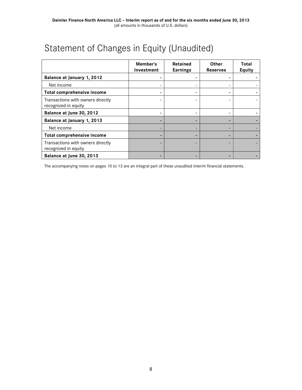# <span id="page-7-0"></span>Statement of Changes in Equity (Unaudited)

|                                                           | Member's<br>Investment | Retained<br><b>Earnings</b> | <b>Other</b><br><b>Reserves</b> | Total<br><b>Equity</b> |
|-----------------------------------------------------------|------------------------|-----------------------------|---------------------------------|------------------------|
| Balance at January 1, 2012                                |                        |                             |                                 |                        |
| Net income                                                |                        |                             |                                 |                        |
| Total comprehensive income                                |                        |                             | ۰                               |                        |
| Transactions with owners directly<br>recognized in equity |                        |                             |                                 |                        |
| Balance at June 30, 2012                                  |                        |                             | -                               |                        |
| Balance at January 1, 2013                                |                        |                             |                                 |                        |
| Net income                                                |                        |                             |                                 |                        |
| Total comprehensive income                                |                        |                             |                                 |                        |
| Transactions with owners directly<br>recognized in equity |                        |                             |                                 |                        |
| Balance at June 30, 2013                                  |                        |                             |                                 |                        |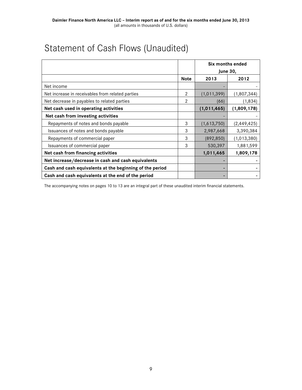# <span id="page-8-0"></span>Statement of Cash Flows (Unaudited)

|                                                          |             | Six months ended<br><b>June 30,</b> |               |
|----------------------------------------------------------|-------------|-------------------------------------|---------------|
|                                                          |             |                                     |               |
|                                                          | <b>Note</b> | 2012<br>2013                        |               |
| Net income                                               |             |                                     |               |
| Net increase in receivables from related parties         | 2           | (1,011,399)                         | (1,807,344)   |
| Net decrease in payables to related parties              | 2           | (66)                                | (1,834)       |
| Net cash used in operating activities                    |             | (1,011,465)                         | (1,809,178)   |
| Net cash from investing activities                       |             |                                     |               |
| Repayments of notes and bonds payable                    | 3           | (1,613,750)                         | (2, 449, 425) |
| Issuances of notes and bonds payable                     | 3           | 2,987,668                           | 3,390,384     |
| Repayments of commercial paper                           | 3           | (892, 850)                          | (1,013,380)   |
| Issuances of commercial paper                            | 3           | 530,397                             | 1,881,599     |
| Net cash from financing activities                       |             | 1,011,465                           | 1,809,178     |
| Net increase/decrease in cash and cash equivalents       |             |                                     |               |
| Cash and cash equivalents at the beginning of the period |             | -                                   |               |
| Cash and cash equivalents at the end of the period       |             |                                     |               |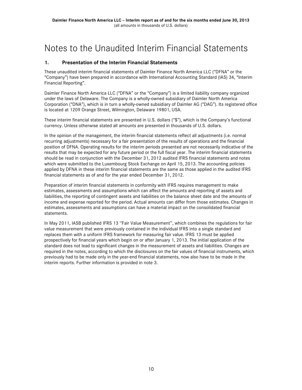### <span id="page-9-0"></span>Notes to the Unaudited Interim Financial Statements

### <span id="page-9-1"></span>**1. Presentation of the Interim Financial Statements**

These unaudited interim financial statements of Daimler Finance North America LLC ("DFNA" or the "Company") have been prepared in accordance with International Accounting Standard (IAS) 34, "Interim Financial Reporting".

Daimler Finance North America LLC ("DFNA" or the "Company") is a limited liability company organized under the laws of Delaware. The Company is a wholly-owned subsidiary of Daimler North America Corporation ("DNA"), which is in turn a wholly-owned subsidiary of Daimler AG ("DAG"). Its registered office is located at 1209 Orange Street, Wilmington, Delaware 19801, USA.

These interim financial statements are presented in U.S. dollars ("\$"), which is the Company's functional currency. Unless otherwise stated all amounts are presented in thousands of U.S. dollars.

In the opinion of the management, the interim financial statements reflect all adjustments (i.e. normal recurring adjustments) necessary for a fair presentation of the results of operations and the financial position of DFNA. Operating results for the interim periods presented are not necessarily indicative of the results that may be expected for any future period or the full fiscal year. The interim financial statements should be read in conjunction with the December 31, 2012 audited IFRS financial statements and notes which were submitted to the Luxembourg Stock Exchange on April 15, 2013. The accounting policies applied by DFNA in these interim financial statements are the same as those applied in the audited IFRS financial statements as of and for the year ended December 31, 2012.

Preparation of interim financial statements in conformity with IFRS requires management to make estimates, assessments and assumptions which can affect the amounts and reporting of assets and liabilities, the reporting of contingent assets and liabilities on the balance sheet date and the amounts of income and expense reported for the period. Actual amounts can differ from those estimates. Changes in estimates, assessments and assumptions can have a material impact on the consolidated financial statements.

<span id="page-9-2"></span>In May 2011, IASB published IFRS 13 ''Fair Value Measurement'', which combines the regulations for fair value measurement that were previously contained in the individual IFRS into a single standard and replaces them with a uniform IFRS framework for measuring fair value. IFRS 13 must be applied prospectively for financial years which begin on or after January 1, 2013. The initial application of the standard does not lead to significant changes in the measurement of assets and liabilities. Changes are required in the notes, according to which the disclosures on the fair values of financial instruments, which previously had to be made only in the year-end financial statements, now also have to be made in the interim reports. Further information is provided in note 3.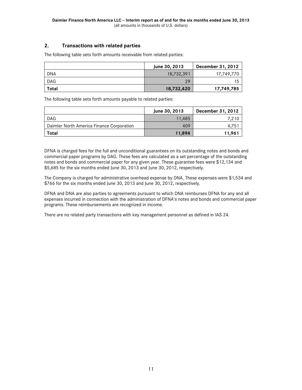### **2. Transactions with related parties**

The following table sets forth amounts receivable from related parties:

|            | June 30, 2013 | December 31, 2012 |
|------------|---------------|-------------------|
| <b>DNA</b> | 18,732,391    | 17,749,770        |
| <b>DAG</b> | 29            | 15                |
| Total      | 18,732,420    | 17,749,785        |

The following table sets forth amounts payable to related parties:

|                                           | June 30, 2013 | December 31, 2012 |
|-------------------------------------------|---------------|-------------------|
| <b>DAG</b>                                | 11.485        | 7.210             |
| Daimler North America Finance Corporation | 409           | $4.75^{\degree}$  |
| Total                                     | 11.894        | 11.961            |

DFNA is charged fees for the full and unconditional guarantees on its outstanding notes and bonds and commercial paper programs by DAG. These fees are calculated as a set percentage of the outstanding notes and bonds and commercial paper for any given year. These guarantee fees were \$12,134 and \$5,685 for the six months ended June 30, 2013 and June 30, 2012, respectively.

The Company is charged for administrative overhead expense by DNA. These expenses were \$1,534 and \$766 for the six months ended June 30, 2013 and June 30, 2012, respectively.

DFNA and DNA are also parties to agreements pursuant to which DNA reimburses DFNA for any and all expenses incurred in connection with the administration of DFNA's notes and bonds and commercial paper programs. These reimbursements are recognized in income.

<span id="page-10-0"></span>There are no related party transactions with key management personnel as defined in IAS 24.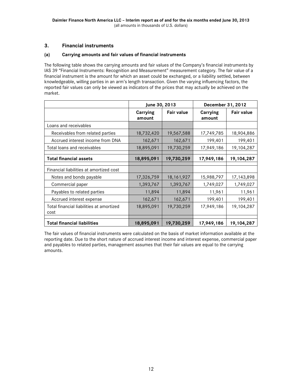### **3. Financial instruments**

### **(a) Carrying amounts and fair values of financial instruments**

The following table shows the carrying amounts and fair values of the Company's financial instruments by IAS 39 "Financial Instruments: Recognition and Measurement" measurement category. The fair value of a financial instrument is the amount for which an asset could be exchanged, or a liability settled, between knowledgeable, willing parties in an arm's length transaction. Given the varying influencing factors, the reported fair values can only be viewed as indicators of the prices that may actually be achieved on the market.

|                                                  | June 30, 2013      |                   | December 31, 2012         |                   |
|--------------------------------------------------|--------------------|-------------------|---------------------------|-------------------|
|                                                  | Carrying<br>amount | <b>Fair value</b> | <b>Carrying</b><br>amount | <b>Fair value</b> |
| Loans and receivables                            |                    |                   |                           |                   |
| Receivables from related parties                 | 18,732,420         | 19,567,588        | 17,749,785                | 18,904,886        |
| Accrued interest income from DNA                 | 162,671            | 162,671           | 199,401                   | 199,401           |
| Total loans and receivables                      | 18,895,091         | 19,730,259        | 17,949,186                | 19,104,287        |
| <b>Total financial assets</b>                    | 18,895,091         | 19,730,259        | 17,949,186                | 19, 104, 287      |
|                                                  |                    |                   |                           |                   |
| Financial liabilities at amortized cost          |                    |                   |                           |                   |
| Notes and bonds payable                          | 17,326,759         | 18, 161, 927      | 15,988,797                | 17, 143, 898      |
| Commercial paper                                 | 1,393,767          | 1,393,767         | 1,749,027                 | 1,749,027         |
| Payables to related parties                      | 11,894             | 11,894            | 11,961                    | 11,961            |
| Accrued interest expense                         | 162,671            | 162,671           | 199,401                   | 199,401           |
| Total financial liabilities at amortized<br>cost | 18,895,091         | 19,730,259        | 17,949,186                | 19,104,287        |
|                                                  |                    |                   |                           |                   |
| <b>Total financial liabilities</b>               | 18,895,091         | 19,730,259        | 17,949,186                | 19,104,287        |

The fair values of financial instruments were calculated on the basis of market information available at the reporting date. Due to the short nature of accrued interest income and interest expense, commercial paper and payables to related parties, management assumes that their fair values are equal to the carrying amounts.